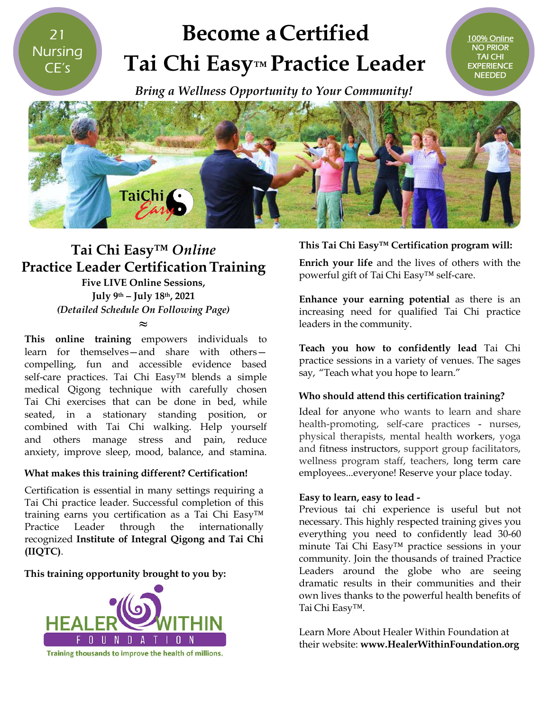21 **Nursing** CE's

# **Become aCertified Tai Chi Easy Easy™ Practice Leader**



### **Tai Chi Easy™** *Online* **Practice Leader Certification CertificationTraining**

**Five LIVE Online Sessions, July 9th – July 18th, 2021** *(Detailed Schedule On Following Page)*

**≈**

**This online training** empowers individuals to learn for themselves—and share with others compelling, fun and accessible evidence based self-care practices. Tai Chi Easy™ blends a simple medical Qigong technique with carefully chosen Tai Chi exercises that can be done in bed, while seated, in a stationary standing position, or combined with Tai Chi walking. Help yourself and others manage stress and pain, reduce anxiety, improve sleep, mood, balance, and stamina.

#### **What makes this training different? Certification!**

Certification is essential in many settings requiring a Tai Chi practice leader. Successful completion of this training earns you certification as a Tai Chi Easy™ Practice Leader through the internationally recognized **Institute of Integral Qigong and Tai Chi (IIQTC)**.

#### **This training opportunity brought to you by:**



#### **This Tai Chi Easy™ Certification program w This Tai will:**

100% Online NO PRIOR TAI CHI EXPERIENCE **NEEDED** 

**Enrich your life** and the lives of others with the **Enrich your life** and the lives of other<br>powerful gift of Tai Chi Easy™ self-care.

**Enhance your earning potential** as there is an increasing need for qualified Tai Chi practice leaders in the community.

**Teach you how to confidently lead** Tai Chi practice sessions in a variety of venues. The sages The sages say, "Teach what you hope to learn."

#### **Who should attend this certification training? this**

Ideal for anyone who wants to learn and share Ideal for anyone who wants to learn and share<br>health-promoting, self-care practices - nurses, physical therapists, mental health workers, yoga and fitness instructors, support group facilitators, and fitness instructors, support group facilitators,<br>wellness program staff, teachers, long term care employees...everyone! Reserve your place today. place today.

#### **Easy to learn, easy to lead to -**

Previous tai chi experience is useful but not necessary. This highly respected training gives you everything you need to confidently lead 30 30-60 minute Tai Chi Easy™ practice sessions in your community. Join the thousands of trained Practice Leaders around the globe who are seeing dramatic results in their communities and their their own lives thanks to the powerful health benefits of Tai Chi Easy™. own lives thanks to the powerful health benefits<br>Tai Chi Easy™.<br>Learn More About Healer Within Foundation at

their website: **www.HealerWithinFoundation.org www.HealerWithinFoundation.org**